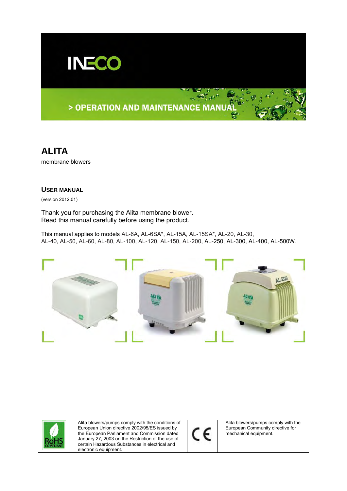

# > OPERATION AND MAINTENANCE MANUA

**ALITA** membrane blowers

### **USER MANUAL**

(version 2012.01)

Thank you for purchasing the Alita membrane blower. Read this manual carefully before using the product.

This manual applies to models AL-6A, AL-6SA\*, AL-15A, AL-15SA\*, AL-20, AL-30, AL-40, AL-50, AL-60, AL-80, AL-100, AL-120, AL-150, AL-200, AL-250, AL-300, AL-400, AL-500W.



Alita blowers/pumps comply with the conditions of European Union directive 2002/95/ES issued by the European Parliament and Commission dated January 27, 2003 on the Restriction of the use of certain Hazardous Substances in electrical and electronic equipment.



Alita blowers/pumps comply with the European Community directive for mechanical equipment.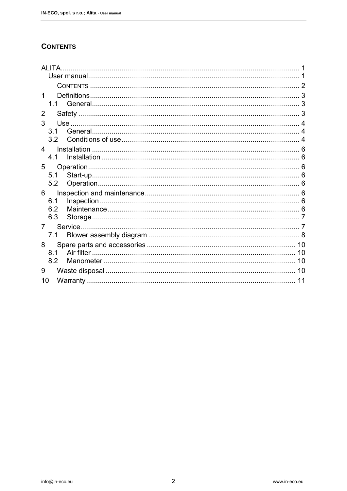## **CONTENTS**

| <b>ALITA</b>   |     |         |    |  |  |
|----------------|-----|---------|----|--|--|
|                |     |         |    |  |  |
|                |     |         |    |  |  |
| 1              |     |         |    |  |  |
|                | 11  |         |    |  |  |
| $\overline{2}$ |     |         |    |  |  |
| 3              |     |         |    |  |  |
|                | 3.1 |         |    |  |  |
|                | 3.2 |         |    |  |  |
| 4              |     |         |    |  |  |
|                | 4.1 |         |    |  |  |
| 5              |     |         |    |  |  |
|                | 5.1 |         |    |  |  |
|                | 5.2 |         |    |  |  |
| 6              |     |         |    |  |  |
|                | 6.1 |         |    |  |  |
|                | 6.2 |         |    |  |  |
|                | 6.3 |         |    |  |  |
| 7              |     | Service |    |  |  |
|                | 7.1 |         |    |  |  |
| 8              |     |         | 10 |  |  |
|                | 8.1 |         | 10 |  |  |
|                | 8.2 |         | 10 |  |  |
| 9              |     |         | 10 |  |  |
| 10             |     |         | 11 |  |  |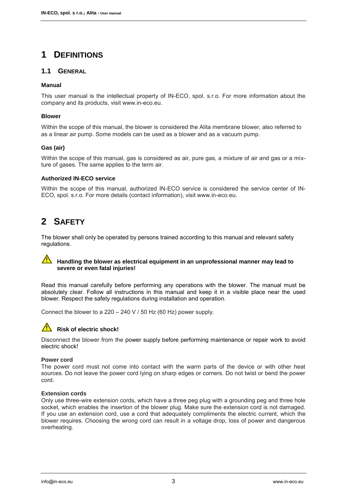# **1 DEFINITIONS**

### **1.1 GENERAL**

### **Manual**

This user manual is the intellectual property of IN-ECO, spol. s.r.o. For more information about the company and its products, visit www.in-eco.eu.

### **Blower**

Within the scope of this manual, the blower is considered the Alita membrane blower, also referred to as a linear air pump. Some models can be used as a blower and as a vacuum pump.

### **Gas (air)**

Within the scope of this manual, gas is considered as air, pure gas, a mixture of air and gas or a mixture of gases. The same applies to the term air.

### **Authorized IN-ECO service**

Within the scope of this manual, authorized IN-ECO service is considered the service center of IN-ECO, spol. s.r.o. For more details (contact information), visit www.in-eco.eu.

# **2 SAFETY**

The blower shall only be operated by persons trained according to this manual and relevant safety regulations.

#### $\sqrt{1}$ **Handling the blower as electrical equipment in an unprofessional manner may lead to severe or even fatal injuries!**

Read this manual carefully before performing any operations with the blower. The manual must be absolutely clear. Follow all instructions in this manual and keep it in a visible place near the used blower. Respect the safety regulations during installation and operation.

Connect the blower to a 220 – 240 V / 50 Hz (60 Hz) power supply.



## **Risk of electric shock!**

Disconnect the blower from the power supply before performing maintenance or repair work to avoid electric shock!

### **Power cord**

The power cord must not come into contact with the warm parts of the device or with other heat sources. Do not leave the power cord lying on sharp edges or corners. Do not twist or bend the power cord.

### **Extension cords**

Only use three-wire extension cords, which have a three peg plug with a grounding peg and three hole socket, which enables the insertion of the blower plug. Make sure the extension cord is not damaged. If you use an extension cord, use a cord that adequately compliments the electric current, which the blower requires. Choosing the wrong cord can result in a voltage drop, loss of power and dangerous overheating.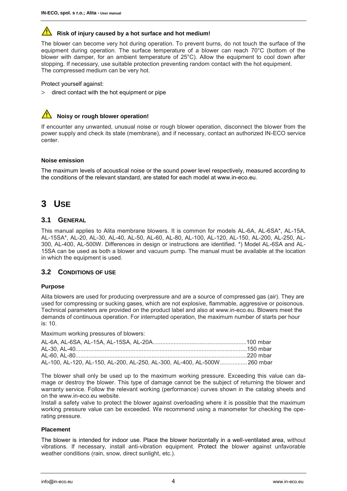## **Risk of injury caused by a hot surface and hot medium!**

The blower can become very hot during operation. To prevent burns, do not touch the surface of the equipment during operation. The surface temperature of a blower can reach 70°C (bottom of the blower with damper, for an ambient temperature of 25°C). Allow the equipment to cool down after stopping. If necessary, use suitable protection preventing random contact with the hot equipment. The compressed medium can be very hot.

Protect yourself against:

 $>$  direct contact with the hot equipment or pipe



### **Noisy or rough blower operation!**

If encounter any unwanted, unusual noise or rough blower operation, disconnect the blower from the power supply and check its state (membrane), and if necessary, contact an authorized IN-ECO service center.

### **Noise emission**

The maximum levels of acoustical noise or the sound power level respectively, measured according to the conditions of the relevant standard, are stated for each model at www.in-eco.eu.

## **3 USE**

### **3.1 GENERAL**

This manual applies to Alita membrane blowers. It is common for models AL-6A, AL-6SA\*, AL-15A, AL-15SA\*, AL-20, AL-30, AL-40, AL-50, AL-60, AL-80, AL-100, AL-120, AL-150, AL-200, AL-250, AL-300, AL-400, AL-500W. Differences in design or instructions are identified. \*) Model AL-6SA and AL-15SA can be used as both a blower and vacuum pump. The manual must be available at the location in which the equipment is used.

### **3.2 CONDITIONS OF USE**

#### **Purpose**

Alita blowers are used for producing overpressure and are a source of compressed gas (air). They are used for compressing or sucking gases, which are not explosive, flammable, aggressive or poisonous. Technical parameters are provided on the product label and also at www.in-eco.eu. Blowers meet the demands of continuous operation. For interrupted operation, the maximum number of starts per hour is: 10.

Maximum working pressures of blowers:

| AL-100, AL-120, AL-150, AL-200, AL-250, AL-300, AL-400, AL-500W 260 mbar |  |
|--------------------------------------------------------------------------|--|

The blower shall only be used up to the maximum working pressure. Exceeding this value can damage or destroy the blower. This type of damage cannot be the subject of returning the blower and warranty service. Follow the relevant working (performance) curves shown in the catalog sheets and on the www.in-eco.eu website.

Install a safety valve to protect the blower against overloading where it is possible that the maximum working pressure value can be exceeded. We recommend using a manometer for checking the operating pressure.

#### **Placement**

The blower is intended for indoor use. Place the blower horizontally in a well-ventilated area, without vibrations. If necessary, install anti-vibration equipment. Protect the blower against unfavorable weather conditions (rain, snow, direct sunlight, etc.).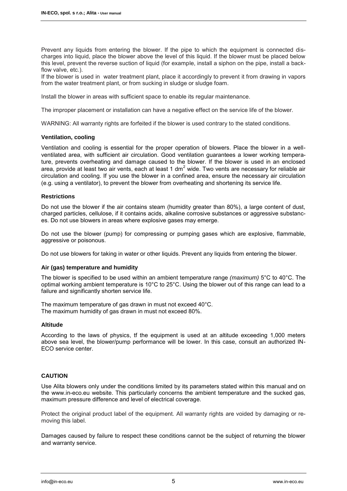Prevent any liquids from entering the blower. If the pipe to which the equipment is connected discharges into liquid, place the blower above the level of this liquid. If the blower must be placed below this level, prevent the reverse suction of liquid (for example, install a siphon on the pipe, install a backflow valve, etc.).

If the blower is used in water treatment plant, place it accordingly to prevent it from drawing in vapors from the water treatment plant, or from sucking in sludge or sludge foam.

Install the blower in areas with sufficient space to enable its regular maintenance.

The improper placement or installation can have a negative effect on the service life of the blower.

WARNING: All warranty rights are forfeited if the blower is used contrary to the stated conditions.

#### **Ventilation, cooling**

Ventilation and cooling is essential for the proper operation of blowers. Place the blower in a wellventilated area, with sufficient air circulation. Good ventilation guarantees a lower working temperature, prevents overheating and damage caused to the blower. If the blower is used in an enclosed area, provide at least two air vents, each at least 1 dm<sup>2</sup> wide. Two vents are necessary for reliable air circulation and cooling. If you use the blower in a confined area, ensure the necessary air circulation (e.g. using a ventilator), to prevent the blower from overheating and shortening its service life.

#### **Restrictions**

Do not use the blower if the air contains steam (humidity greater than 80%), a large content of dust, charged particles, cellulose, if it contains acids, alkaline corrosive substances or aggressive substances. Do not use blowers in areas where explosive gases may emerge.

Do not use the blower (pump) for compressing or pumping gases which are explosive, flammable, aggressive or poisonous.

Do not use blowers for taking in water or other liquids. Prevent any liquids from entering the blower.

#### **Air (gas) temperature and humidity**

The blower is specified to be used within an ambient temperature range *(maximum)* 5°C to 40°C. The optimal working ambient temperature is 10°C to 25°C. Using the blower out of this range can lead to a failure and significantly shorten service life.

The maximum temperature of gas drawn in must not exceed 40°C. The maximum humidity of gas drawn in must not exceed 80%.

#### **Altitude**

According to the laws of physics, tf the equipment is used at an altitude exceeding 1,000 meters above sea level, the blower/pump performance will be lower. In this case, consult an authorized IN-ECO service center.

### **CAUTION**

Use Alita blowers only under the conditions limited by its parameters stated within this manual and on the www.in-eco.eu website. This particularly concerns the ambient temperature and the sucked gas, maximum pressure difference and level of electrical coverage.

Protect the original product label of the equipment. All warranty rights are voided by damaging or removing this label.

Damages caused by failure to respect these conditions cannot be the subject of returning the blower and warranty service.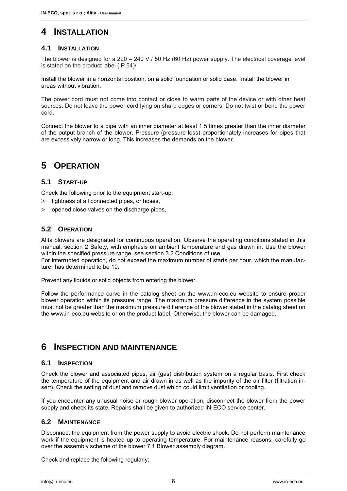## **4 INSTALLATION**

## **4.1 INSTALLATION**

The blower is designed for a 220 – 240 V / 50 Hz (60 Hz) power supply. The electrical coverage level is stated on the product label (IP 54)/

Install the blower in a horizontal position, on a solid foundation or solid base. Install the blower in areas without vibration.

The power cord must not come into contact or close to warm parts of the device or with other heat sources. Do not leave the power cord lying on sharp edges or corners. Do not twist or bend the power cord.

Connect the blower to a pipe with an inner diameter at least 1.5 times greater than the inner diameter of the output branch of the blower. Pressure (pressure loss) proportionately increases for pipes that are excessively narrow or long. This increases the demands on the blower.

## **5 OPERATION**

### **5.1 START-UP**

Check the following prior to the equipment start-up:

- $>$  tightness of all connected pipes, or hoses,
- $>$  opened close valves on the discharge pipes,

### **5.2 OPERATION**

Alita blowers are designated for continuous operation. Observe the operating conditions stated in this manual, section 2 Safety, with emphasis on ambient temperature and gas drawn in. Use the blower within the specified pressure range, see section 3.2 Conditions of use.

For interrupted operation, do not exceed the maximum number of starts per hour, which the manufacturer has determined to be 10.

Prevent any liquids or solid objects from entering the blower.

Follow the performance curve in the catalog sheet on the www.in-eco.eu website to ensure proper blower operation within its pressure range. The maximum pressure difference in the system possible must not be greater than the maximum pressure difference of the blower stated in the catalog sheet on the www.in-eco.eu website or on the product label. Otherwise, the blower can be damaged.

## **6 INSPECTION AND MAINTENANCE**

### **6.1 INSPECTION**

Check the blower and associated pipes, air (gas) distribution system on a regular basis. First check the temperature of the equipment and air drawn in as well as the impurity of the air filter (filtration insert). Check the setting of dust and remove dust which could limit ventilation or cooling.

If you encounter any unusual noise or rough blower operation, disconnect the blower from the power supply and check its state. Repairs shall be given to authorized IN-ECO service center.

### **6.2 MAINTENANCE**

Disconnect the equipment from the power supply to avoid electric shock. Do not perform maintenance work if the equipment is heated up to operating temperature. For maintenance reasons, carefully go over the assembly scheme of the blower 7.1 Blower assembly diagram.

Check and replace the following regularly: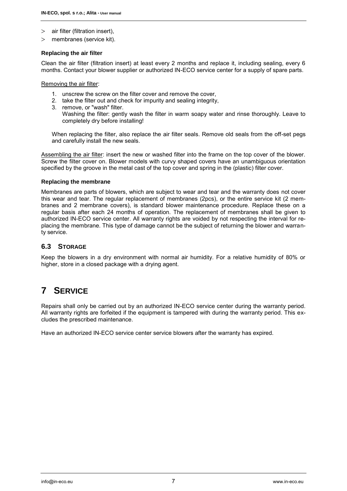- $>$  air filter (filtration insert),
- $>$  membranes (service kit).

#### **Replacing the air filter**

Clean the air filter (filtration insert) at least every 2 months and replace it, including sealing, every 6 months. Contact your blower supplier or authorized IN-ECO service center for a supply of spare parts.

Removing the air filter:

- 1. unscrew the screw on the filter cover and remove the cover,
- 2. take the filter out and check for impurity and sealing integrity,
- 3. remove, or "wash" filter.

Washing the filter: gently wash the filter in warm soapy water and rinse thoroughly. Leave to completely dry before installing!

When replacing the filter, also replace the air filter seals. Remove old seals from the off-set pegs and carefully install the new seals.

Assembling the air filter: insert the new or washed filter into the frame on the top cover of the blower. Screw the filter cover on. Blower models with curvy shaped covers have an unambiguous orientation specified by the groove in the metal cast of the top cover and spring in the (plastic) filter cover.

#### **Replacing the membrane**

Membranes are parts of blowers, which are subject to wear and tear and the warranty does not cover this wear and tear. The regular replacement of membranes (2pcs), or the entire service kit (2 membranes and 2 membrane covers), is standard blower maintenance procedure. Replace these on a regular basis after each 24 months of operation. The replacement of membranes shall be given to authorized IN-ECO service center. All warranty rights are voided by not respecting the interval for replacing the membrane. This type of damage cannot be the subject of returning the blower and warranty service.

### **6.3 STORAGE**

Keep the blowers in a dry environment with normal air humidity. For a relative humidity of 80% or higher, store in a closed package with a drying agent.

## **7 SERVICE**

Repairs shall only be carried out by an authorized IN-ECO service center during the warranty period. All warranty rights are forfeited if the equipment is tampered with during the warranty period. This excludes the prescribed maintenance.

Have an authorized IN-ECO service center service blowers after the warranty has expired.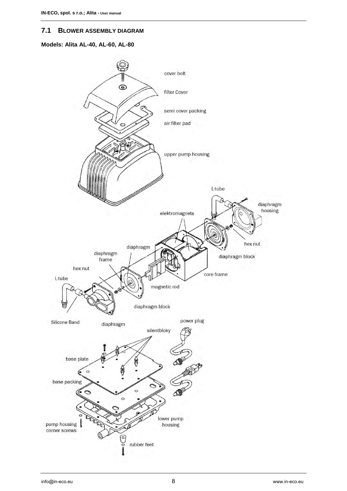### **7.1 BLOWER ASSEMBLY DIAGRAM**

### **Models: Alita AL-40, AL-60, AL-80**

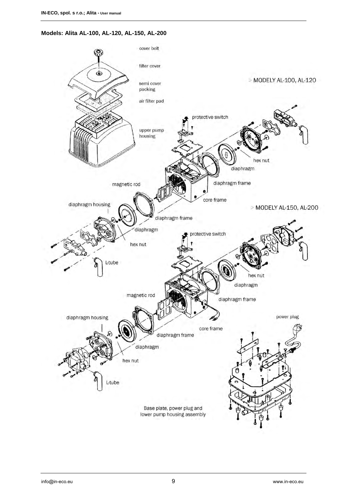## **Models: Alita AL-100, AL-120, AL-150, AL-200**

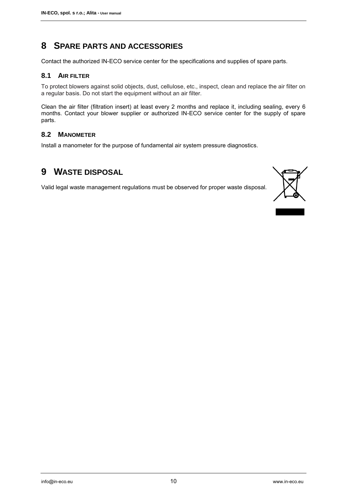## **8 SPARE PARTS AND ACCESSORIES**

Contact the authorized IN-ECO service center for the specifications and supplies of spare parts.

## **8.1 AIR FILTER**

To protect blowers against solid objects, dust, cellulose, etc., inspect, clean and replace the air filter on a regular basis. Do not start the equipment without an air filter.

Clean the air filter (filtration insert) at least every 2 months and replace it, including sealing, every 6 months. Contact your blower supplier or authorized IN-ECO service center for the supply of spare parts.

### **8.2 MANOMETER**

Install a manometer for the purpose of fundamental air system pressure diagnostics.

## **9 WASTE DISPOSAL**

Valid legal waste management regulations must be observed for proper waste disposal.



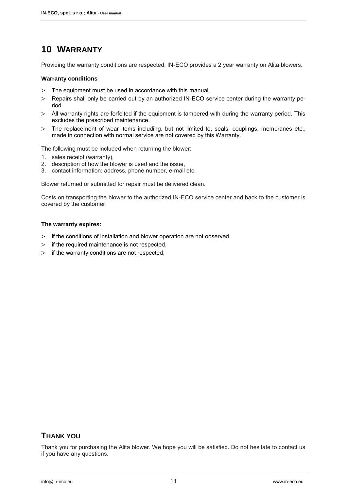# **10 WARRANTY**

Providing the warranty conditions are respected, IN-ECO provides a 2 year warranty on Alita blowers.

### **Warranty conditions**

- The equipment must be used in accordance with this manual.
- Repairs shall only be carried out by an authorized IN-ECO service center during the warranty period.
- All warranty rights are forfeited if the equipment is tampered with during the warranty period. This excludes the prescribed maintenance.
- The replacement of wear items including, but not limited to, seals, couplings, membranes etc., made in connection with normal service are not covered by this Warranty.

The following must be included when returning the blower:

- 1. sales receipt (warranty),
- 2. description of how the blower is used and the issue,
- 3. contact information: address, phone number, e-mail etc.

Blower returned or submitted for repair must be delivered clean.

Costs on transporting the blower to the authorized IN-ECO service center and back to the customer is covered by the customer.

#### **The warranty expires:**

- $>$  if the conditions of installation and blower operation are not observed,
- $\geq$  if the required maintenance is not respected,
- $\geq$  if the warranty conditions are not respected,

## **THANK YOU**

Thank you for purchasing the Alita blower. We hope you will be satisfied. Do not hesitate to contact us if you have any questions.